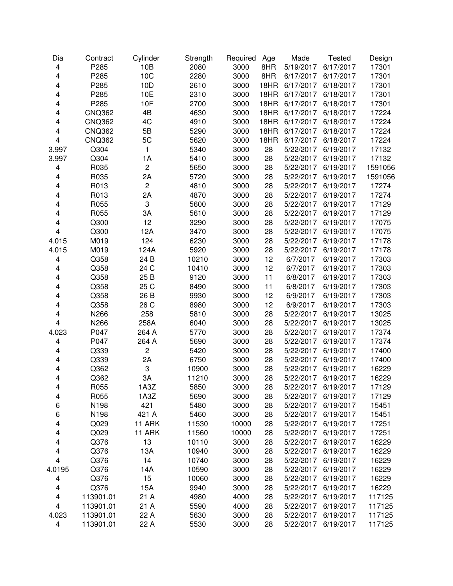| Dia                     | Contract      | Cylinder       | Strength | Required | Age  | Made      | <b>Tested</b>       | Design  |
|-------------------------|---------------|----------------|----------|----------|------|-----------|---------------------|---------|
| 4                       | P285          | 10B            | 2080     | 3000     | 8HR  | 5/19/2017 | 6/17/2017           | 17301   |
| 4                       | P285          | 10C            | 2280     | 3000     | 8HR  | 6/17/2017 | 6/17/2017           | 17301   |
| $\overline{\mathbf{4}}$ | P285          | 10D            | 2610     | 3000     | 18HR | 6/17/2017 | 6/18/2017           | 17301   |
| 4                       | P285          | 10E            | 2310     | 3000     | 18HR | 6/17/2017 | 6/18/2017           | 17301   |
| 4                       | P285          | 10F            | 2700     | 3000     | 18HR | 6/17/2017 | 6/18/2017           | 17301   |
| 4                       | <b>CNQ362</b> | 4B             | 4630     | 3000     | 18HR | 6/17/2017 | 6/18/2017           | 17224   |
| 4                       | <b>CNQ362</b> | 4C             | 4910     | 3000     | 18HR | 6/17/2017 | 6/18/2017           | 17224   |
| 4                       | <b>CNQ362</b> | 5B             | 5290     | 3000     | 18HR | 6/17/2017 | 6/18/2017           | 17224   |
| 4                       | <b>CNQ362</b> | 5C             | 5620     | 3000     | 18HR | 6/17/2017 | 6/18/2017           | 17224   |
| 3.997                   | Q304          | $\mathbf{1}$   | 5340     | 3000     | 28   | 5/22/2017 | 6/19/2017           | 17132   |
| 3.997                   | Q304          | 1A             | 5410     | 3000     | 28   | 5/22/2017 | 6/19/2017           | 17132   |
| 4                       | R035          | $\overline{c}$ | 5650     | 3000     | 28   | 5/22/2017 | 6/19/2017           | 1591056 |
| 4                       | R035          | 2A             | 5720     | 3000     | 28   | 5/22/2017 | 6/19/2017           | 1591056 |
| 4                       | R013          | $\overline{c}$ | 4810     | 3000     | 28   | 5/22/2017 | 6/19/2017           | 17274   |
| 4                       | R013          | 2A             | 4870     | 3000     | 28   | 5/22/2017 | 6/19/2017           | 17274   |
| 4                       | R055          | 3              | 5600     | 3000     | 28   | 5/22/2017 | 6/19/2017           | 17129   |
| 4                       | R055          | 3A             | 5610     | 3000     | 28   | 5/22/2017 | 6/19/2017           | 17129   |
| 4                       | Q300          | 12             | 3290     | 3000     | 28   | 5/22/2017 | 6/19/2017           | 17075   |
| $\overline{\mathbf{4}}$ | Q300          | 12A            | 3470     | 3000     | 28   | 5/22/2017 | 6/19/2017           | 17075   |
| 4.015                   | M019          | 124            | 6230     | 3000     | 28   | 5/22/2017 | 6/19/2017           | 17178   |
| 4.015                   | M019          | 124A           | 5920     | 3000     | 28   | 5/22/2017 | 6/19/2017           | 17178   |
| 4                       | Q358          | 24 B           | 10210    | 3000     | 12   | 6/7/2017  | 6/19/2017           | 17303   |
| 4                       | Q358          | 24 C           | 10410    | 3000     | 12   | 6/7/2017  | 6/19/2017           | 17303   |
| 4                       | Q358          | 25 B           | 9120     | 3000     | 11   | 6/8/2017  | 6/19/2017           | 17303   |
| 4                       | Q358          | 25 C           | 8490     | 3000     | 11   | 6/8/2017  | 6/19/2017           | 17303   |
| 4                       | Q358          | 26 B           | 9930     | 3000     | 12   | 6/9/2017  | 6/19/2017           | 17303   |
| 4                       | Q358          | 26 C           | 8980     | 3000     | 12   | 6/9/2017  | 6/19/2017           | 17303   |
| 4                       | N266          | 258            | 5810     | 3000     | 28   | 5/22/2017 | 6/19/2017           | 13025   |
| $\overline{4}$          | N266          | 258A           | 6040     | 3000     | 28   | 5/22/2017 | 6/19/2017           | 13025   |
| 4.023                   | P047          | 264 A          | 5770     | 3000     | 28   | 5/22/2017 | 6/19/2017           | 17374   |
| 4                       | P047          | 264 A          | 5690     | 3000     | 28   | 5/22/2017 | 6/19/2017           | 17374   |
| 4                       | Q339          | $\overline{c}$ | 5420     | 3000     | 28   | 5/22/2017 | 6/19/2017           | 17400   |
| 4                       | Q339          | 2A             | 6750     | 3000     | 28   | 5/22/2017 | 6/19/2017           | 17400   |
| 4                       | Q362          | 3              | 10900    | 3000     | 28   | 5/22/2017 | 6/19/2017           | 16229   |
| 4                       | Q362          | 3A             | 11210    | 3000     | 28   | 5/22/2017 | 6/19/2017           | 16229   |
| 4                       | R055          | 1A3Z           | 5850     | 3000     | 28   |           | 5/22/2017 6/19/2017 | 17129   |
| 4                       | R055          | 1A3Z           | 5690     | 3000     | 28   | 5/22/2017 | 6/19/2017           | 17129   |
| 6                       | N198          | 421            | 5480     | 3000     | 28   | 5/22/2017 | 6/19/2017           | 15451   |
| 6                       | N198          | 421 A          | 5460     | 3000     | 28   | 5/22/2017 | 6/19/2017           | 15451   |
| 4                       | Q029          | 11 ARK         | 11530    | 10000    | 28   | 5/22/2017 | 6/19/2017           | 17251   |
| 4                       | Q029          | 11 ARK         | 11560    | 10000    | 28   | 5/22/2017 | 6/19/2017           | 17251   |
| 4                       | Q376          | 13             | 10110    | 3000     | 28   | 5/22/2017 | 6/19/2017           | 16229   |
| 4                       | Q376          | 13A            | 10940    | 3000     | 28   | 5/22/2017 | 6/19/2017           | 16229   |
| 4                       | Q376          | 14             | 10740    | 3000     | 28   | 5/22/2017 | 6/19/2017           | 16229   |
| 4.0195                  | Q376          | 14A            | 10590    | 3000     | 28   | 5/22/2017 | 6/19/2017           | 16229   |
| $\overline{\mathbf{4}}$ | Q376          | 15             | 10060    | 3000     | 28   | 5/22/2017 | 6/19/2017           | 16229   |
| 4                       | Q376          | 15A            | 9940     | 3000     | 28   | 5/22/2017 | 6/19/2017           | 16229   |
| 4                       | 113901.01     | 21 A           | 4980     | 4000     | 28   | 5/22/2017 | 6/19/2017           | 117125  |
| 4                       | 113901.01     | 21 A           | 5590     | 4000     | 28   | 5/22/2017 | 6/19/2017           | 117125  |
| 4.023                   | 113901.01     | 22 A           | 5630     | 3000     | 28   | 5/22/2017 | 6/19/2017           | 117125  |
| $\overline{\mathbf{4}}$ | 113901.01     | 22 A           | 5530     | 3000     | 28   | 5/22/2017 | 6/19/2017           | 117125  |
|                         |               |                |          |          |      |           |                     |         |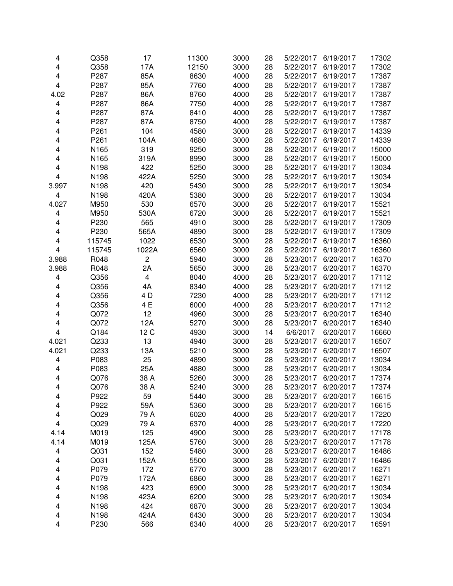| 4                       | Q358   | 17             | 11300 | 3000 | 28 | 5/22/2017 | 6/19/2017 | 17302 |
|-------------------------|--------|----------------|-------|------|----|-----------|-----------|-------|
| 4                       | Q358   | 17A            | 12150 | 3000 | 28 | 5/22/2017 | 6/19/2017 | 17302 |
| 4                       | P287   | 85A            | 8630  | 4000 | 28 | 5/22/2017 | 6/19/2017 | 17387 |
| $\overline{\mathbf{4}}$ | P287   | 85A            | 7760  | 4000 | 28 | 5/22/2017 | 6/19/2017 | 17387 |
| 4.02                    | P287   | 86A            | 8760  | 4000 | 28 | 5/22/2017 | 6/19/2017 | 17387 |
| 4                       | P287   | 86A            | 7750  | 4000 | 28 | 5/22/2017 | 6/19/2017 | 17387 |
| 4                       | P287   | 87A            | 8410  | 4000 | 28 | 5/22/2017 | 6/19/2017 | 17387 |
| 4                       | P287   | 87A            | 8750  | 4000 | 28 | 5/22/2017 | 6/19/2017 | 17387 |
| 4                       | P261   | 104            | 4580  | 3000 | 28 | 5/22/2017 | 6/19/2017 | 14339 |
| 4                       | P261   | 104A           | 4680  | 3000 | 28 | 5/22/2017 | 6/19/2017 | 14339 |
| 4                       | N165   | 319            | 9250  | 3000 | 28 | 5/22/2017 | 6/19/2017 | 15000 |
| 4                       | N165   | 319A           | 8990  | 3000 | 28 | 5/22/2017 | 6/19/2017 | 15000 |
| 4                       | N198   | 422            | 5250  | 3000 | 28 | 5/22/2017 | 6/19/2017 | 13034 |
| 4                       | N198   | 422A           | 5250  | 3000 | 28 | 5/22/2017 | 6/19/2017 | 13034 |
| 3.997                   | N198   | 420            | 5430  | 3000 | 28 | 5/22/2017 | 6/19/2017 | 13034 |
| 4                       | N198   | 420A           | 5380  | 3000 | 28 | 5/22/2017 | 6/19/2017 | 13034 |
| 4.027                   | M950   | 530            | 6570  | 3000 | 28 | 5/22/2017 | 6/19/2017 | 15521 |
| 4                       | M950   | 530A           | 6720  | 3000 | 28 | 5/22/2017 | 6/19/2017 | 15521 |
| 4                       | P230   | 565            | 4910  | 3000 | 28 | 5/22/2017 | 6/19/2017 | 17309 |
| $\overline{\mathbf{4}}$ | P230   | 565A           | 4890  | 3000 | 28 | 5/22/2017 | 6/19/2017 | 17309 |
| 4                       | 115745 | 1022           | 6530  | 3000 | 28 | 5/22/2017 | 6/19/2017 | 16360 |
| $\overline{\mathbf{4}}$ | 115745 | 1022A          | 6560  | 3000 | 28 | 5/22/2017 | 6/19/2017 | 16360 |
| 3.988                   | R048   | $\overline{c}$ | 5940  | 3000 | 28 | 5/23/2017 | 6/20/2017 | 16370 |
| 3.988                   | R048   | 2A             | 5650  | 3000 | 28 | 5/23/2017 | 6/20/2017 | 16370 |
| 4                       | Q356   | 4              | 8040  | 4000 | 28 | 5/23/2017 | 6/20/2017 | 17112 |
| 4                       | Q356   | 4A             | 8340  | 4000 | 28 | 5/23/2017 | 6/20/2017 | 17112 |
| 4                       | Q356   | 4 D            | 7230  | 4000 | 28 | 5/23/2017 | 6/20/2017 | 17112 |
| 4                       | Q356   | 4 E            | 6000  | 4000 | 28 | 5/23/2017 | 6/20/2017 | 17112 |
| 4                       | Q072   | 12             | 4960  | 3000 | 28 | 5/23/2017 | 6/20/2017 | 16340 |
| 4                       | Q072   | 12A            | 5270  | 3000 | 28 | 5/23/2017 | 6/20/2017 | 16340 |
| 4                       | Q184   | 12 C           | 4930  | 3000 | 14 | 6/6/2017  | 6/20/2017 | 16660 |
| 4.021                   | Q233   | 13             | 4940  | 3000 | 28 | 5/23/2017 | 6/20/2017 | 16507 |
| 4.021                   | Q233   | 13A            | 5210  | 3000 | 28 | 5/23/2017 | 6/20/2017 | 16507 |
| 4                       | P083   | 25             | 4890  | 3000 | 28 | 5/23/2017 | 6/20/2017 | 13034 |
| 4                       | P083   | 25A            | 4880  | 3000 | 28 | 5/23/2017 | 6/20/2017 | 13034 |
| 4                       | Q076   | 38 A           | 5260  | 3000 | 28 | 5/23/2017 | 6/20/2017 | 17374 |
| 4                       | Q076   | 38 A           | 5240  | 3000 | 28 | 5/23/2017 | 6/20/2017 | 17374 |
| 4                       | P922   | 59             | 5440  | 3000 | 28 | 5/23/2017 | 6/20/2017 | 16615 |
| 4                       | P922   | 59A            | 5360  | 3000 | 28 | 5/23/2017 | 6/20/2017 | 16615 |
| 4                       | Q029   | 79 A           | 6020  | 4000 | 28 | 5/23/2017 | 6/20/2017 | 17220 |
| 4                       | Q029   | 79 A           | 6370  | 4000 | 28 | 5/23/2017 | 6/20/2017 | 17220 |
| 4.14                    | M019   | 125            | 4900  | 3000 | 28 | 5/23/2017 | 6/20/2017 | 17178 |
| 4.14                    | M019   | 125A           | 5760  | 3000 | 28 | 5/23/2017 | 6/20/2017 | 17178 |
| 4                       | Q031   | 152            | 5480  | 3000 | 28 | 5/23/2017 | 6/20/2017 | 16486 |
| 4                       | Q031   | 152A           | 5500  | 3000 | 28 | 5/23/2017 | 6/20/2017 | 16486 |
| 4                       | P079   | 172            | 6770  | 3000 | 28 | 5/23/2017 | 6/20/2017 | 16271 |
| 4                       | P079   | 172A           | 6860  | 3000 | 28 | 5/23/2017 | 6/20/2017 | 16271 |
| 4                       | N198   | 423            | 6900  | 3000 | 28 | 5/23/2017 | 6/20/2017 | 13034 |
| 4                       | N198   | 423A           | 6200  | 3000 | 28 | 5/23/2017 | 6/20/2017 | 13034 |
| 4                       | N198   | 424            | 6870  | 3000 | 28 | 5/23/2017 | 6/20/2017 | 13034 |
| 4                       | N198   | 424A           | 6430  | 3000 | 28 | 5/23/2017 | 6/20/2017 | 13034 |
| 4                       | P230   | 566            | 6340  | 4000 | 28 | 5/23/2017 | 6/20/2017 | 16591 |
|                         |        |                |       |      |    |           |           |       |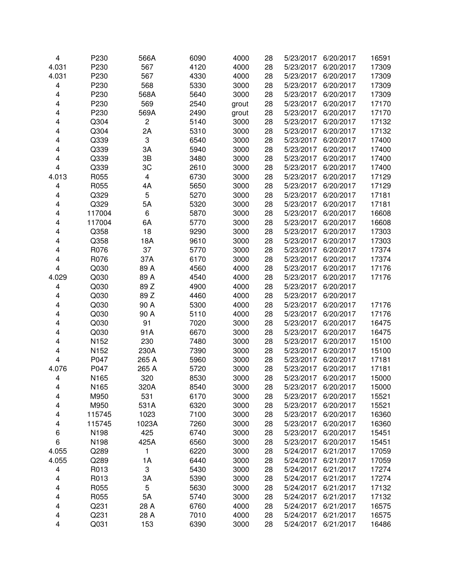| 4                       | P230   | 566A                    | 6090 | 4000  | 28 | 5/23/2017 | 6/20/2017 | 16591 |
|-------------------------|--------|-------------------------|------|-------|----|-----------|-----------|-------|
| 4.031                   | P230   | 567                     | 4120 | 4000  | 28 | 5/23/2017 | 6/20/2017 | 17309 |
| 4.031                   | P230   | 567                     | 4330 | 4000  | 28 | 5/23/2017 | 6/20/2017 | 17309 |
| 4                       | P230   | 568                     | 5330 | 3000  | 28 | 5/23/2017 | 6/20/2017 | 17309 |
| 4                       | P230   | 568A                    | 5640 | 3000  | 28 | 5/23/2017 | 6/20/2017 | 17309 |
| 4                       | P230   | 569                     | 2540 | grout | 28 | 5/23/2017 | 6/20/2017 | 17170 |
| 4                       | P230   | 569A                    | 2490 | grout | 28 | 5/23/2017 | 6/20/2017 | 17170 |
| 4                       | Q304   | $\overline{c}$          | 5140 | 3000  | 28 | 5/23/2017 | 6/20/2017 | 17132 |
| 4                       | Q304   | 2A                      | 5310 | 3000  | 28 | 5/23/2017 | 6/20/2017 | 17132 |
| 4                       | Q339   | 3                       | 6540 | 3000  | 28 | 5/23/2017 | 6/20/2017 | 17400 |
| 4                       | Q339   | 3A                      | 5940 | 3000  | 28 | 5/23/2017 | 6/20/2017 | 17400 |
| 4                       | Q339   | 3B                      | 3480 | 3000  | 28 | 5/23/2017 | 6/20/2017 | 17400 |
| $\overline{\mathbf{4}}$ | Q339   | 3C                      | 2610 | 3000  | 28 | 5/23/2017 | 6/20/2017 | 17400 |
| 4.013                   | R055   | $\overline{\mathbf{4}}$ | 6730 | 3000  | 28 | 5/23/2017 | 6/20/2017 | 17129 |
| 4                       | R055   | 4A                      | 5650 | 3000  | 28 | 5/23/2017 | 6/20/2017 | 17129 |
| 4                       | Q329   | 5                       | 5270 | 3000  | 28 | 5/23/2017 | 6/20/2017 | 17181 |
| 4                       | Q329   | 5A                      | 5320 | 3000  | 28 | 5/23/2017 | 6/20/2017 | 17181 |
| 4                       | 117004 | 6                       | 5870 | 3000  | 28 | 5/23/2017 | 6/20/2017 | 16608 |
| 4                       | 117004 | 6A                      | 5770 | 3000  | 28 | 5/23/2017 | 6/20/2017 | 16608 |
| 4                       | Q358   | 18                      | 9290 | 3000  | 28 | 5/23/2017 | 6/20/2017 | 17303 |
| 4                       | Q358   | 18A                     | 9610 | 3000  | 28 | 5/23/2017 | 6/20/2017 | 17303 |
| 4                       | R076   | 37                      | 5770 | 3000  | 28 | 5/23/2017 | 6/20/2017 | 17374 |
| 4                       | R076   | 37A                     | 6170 | 3000  | 28 | 5/23/2017 | 6/20/2017 | 17374 |
| $\overline{\mathbf{4}}$ | Q030   | 89 A                    | 4560 | 4000  | 28 | 5/23/2017 | 6/20/2017 | 17176 |
| 4.029                   | Q030   | 89 A                    | 4540 | 4000  | 28 | 5/23/2017 | 6/20/2017 | 17176 |
| 4                       | Q030   | 89 Z                    | 4900 | 4000  | 28 | 5/23/2017 | 6/20/2017 |       |
| 4                       | Q030   | 89 Z                    | 4460 | 4000  | 28 | 5/23/2017 | 6/20/2017 |       |
| 4                       | Q030   | 90 A                    | 5300 | 4000  | 28 | 5/23/2017 | 6/20/2017 | 17176 |
| 4                       | Q030   | 90 A                    | 5110 | 4000  | 28 | 5/23/2017 | 6/20/2017 | 17176 |
| 4                       | Q030   | 91                      | 7020 | 3000  | 28 | 5/23/2017 | 6/20/2017 | 16475 |
| 4                       | Q030   | 91A                     | 6670 | 3000  | 28 | 5/23/2017 | 6/20/2017 | 16475 |
| 4                       | N152   | 230                     | 7480 | 3000  | 28 | 5/23/2017 | 6/20/2017 | 15100 |
| 4                       | N152   | 230A                    | 7390 | 3000  | 28 | 5/23/2017 | 6/20/2017 | 15100 |
| $\overline{\mathbf{4}}$ | P047   | 265 A                   | 5960 | 3000  | 28 | 5/23/2017 | 6/20/2017 | 17181 |
| 4.076                   | P047   | 265 A                   | 5720 | 3000  | 28 | 5/23/2017 | 6/20/2017 | 17181 |
| 4                       | N165   | 320                     | 8530 | 3000  | 28 | 5/23/2017 | 6/20/2017 | 15000 |
| 4                       | N165   | 320A                    | 8540 | 3000  | 28 | 5/23/2017 | 6/20/2017 | 15000 |
| 4                       | M950   | 531                     | 6170 | 3000  | 28 | 5/23/2017 | 6/20/2017 | 15521 |
| 4                       | M950   | 531A                    | 6320 | 3000  | 28 | 5/23/2017 | 6/20/2017 | 15521 |
| 4                       | 115745 | 1023                    | 7100 | 3000  | 28 | 5/23/2017 | 6/20/2017 | 16360 |
| 4                       | 115745 | 1023A                   | 7260 | 3000  | 28 | 5/23/2017 | 6/20/2017 | 16360 |
| 6                       | N198   | 425                     | 6740 | 3000  | 28 | 5/23/2017 | 6/20/2017 | 15451 |
| 6                       | N198   | 425A                    | 6560 | 3000  | 28 | 5/23/2017 | 6/20/2017 | 15451 |
| 4.055                   | Q289   | 1                       | 6220 | 3000  | 28 | 5/24/2017 | 6/21/2017 | 17059 |
| 4.055                   | Q289   | 1A                      | 6440 | 3000  | 28 | 5/24/2017 | 6/21/2017 | 17059 |
| 4                       | R013   | 3                       | 5430 | 3000  | 28 | 5/24/2017 | 6/21/2017 | 17274 |
| 4                       | R013   | 3A                      | 5390 | 3000  | 28 | 5/24/2017 | 6/21/2017 | 17274 |
| 4                       | R055   | 5                       | 5630 | 3000  | 28 | 5/24/2017 | 6/21/2017 | 17132 |
| 4                       | R055   | 5A                      | 5740 | 3000  | 28 | 5/24/2017 | 6/21/2017 | 17132 |
| 4                       | Q231   | 28 A                    | 6760 | 4000  | 28 | 5/24/2017 | 6/21/2017 | 16575 |
| 4                       | Q231   | 28 A                    | 7010 | 4000  | 28 | 5/24/2017 | 6/21/2017 | 16575 |
| 4                       | Q031   | 153                     | 6390 | 3000  | 28 | 5/24/2017 | 6/21/2017 | 16486 |
|                         |        |                         |      |       |    |           |           |       |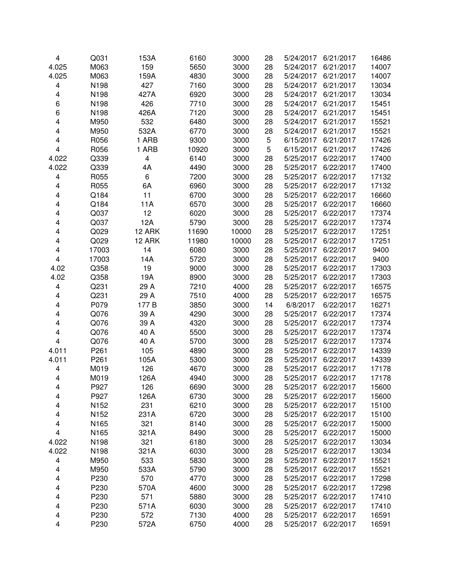| 4                       | Q031  | 153A           | 6160  | 3000  | 28 | 5/24/2017 | 6/21/2017 | 16486 |
|-------------------------|-------|----------------|-------|-------|----|-----------|-----------|-------|
| 4.025                   | M063  | 159            | 5650  | 3000  | 28 | 5/24/2017 | 6/21/2017 | 14007 |
| 4.025                   | M063  | 159A           | 4830  | 3000  | 28 | 5/24/2017 | 6/21/2017 | 14007 |
| 4                       | N198  | 427            | 7160  | 3000  | 28 | 5/24/2017 | 6/21/2017 | 13034 |
| 4                       | N198  | 427A           | 6920  | 3000  | 28 | 5/24/2017 | 6/21/2017 | 13034 |
| 6                       | N198  | 426            | 7710  | 3000  | 28 | 5/24/2017 | 6/21/2017 | 15451 |
| 6                       | N198  | 426A           | 7120  | 3000  | 28 | 5/24/2017 | 6/21/2017 | 15451 |
| 4                       | M950  | 532            | 6480  | 3000  | 28 | 5/24/2017 | 6/21/2017 | 15521 |
| 4                       | M950  | 532A           | 6770  | 3000  | 28 | 5/24/2017 | 6/21/2017 | 15521 |
| 4                       | R056  | 1 ARB          | 9300  | 3000  | 5  | 6/15/2017 | 6/21/2017 | 17426 |
| 4                       | R056  | 1 ARB          | 10920 | 3000  | 5  | 6/15/2017 | 6/21/2017 | 17426 |
| 4.022                   | Q339  | $\overline{4}$ | 6140  | 3000  | 28 | 5/25/2017 | 6/22/2017 | 17400 |
| 4.022                   | Q339  | 4A             | 4490  | 3000  | 28 | 5/25/2017 | 6/22/2017 | 17400 |
| 4                       | R055  | 6              | 7200  | 3000  | 28 | 5/25/2017 | 6/22/2017 | 17132 |
| 4                       | R055  | 6A             | 6960  | 3000  | 28 | 5/25/2017 | 6/22/2017 | 17132 |
| 4                       | Q184  | 11             | 6700  | 3000  | 28 | 5/25/2017 | 6/22/2017 | 16660 |
| 4                       | Q184  | 11A            | 6570  | 3000  | 28 | 5/25/2017 | 6/22/2017 | 16660 |
| 4                       | Q037  | 12             | 6020  | 3000  | 28 | 5/25/2017 | 6/22/2017 | 17374 |
| 4                       | Q037  | 12A            | 5790  | 3000  | 28 | 5/25/2017 | 6/22/2017 | 17374 |
| 4                       | Q029  | 12 ARK         | 11690 | 10000 | 28 | 5/25/2017 | 6/22/2017 | 17251 |
| 4                       | Q029  | 12 ARK         | 11980 | 10000 | 28 | 5/25/2017 | 6/22/2017 | 17251 |
| 4                       | 17003 | 14             | 6080  | 3000  | 28 | 5/25/2017 | 6/22/2017 | 9400  |
| 4                       | 17003 | 14A            | 5720  | 3000  | 28 | 5/25/2017 | 6/22/2017 | 9400  |
| 4.02                    | Q358  | 19             | 9000  | 3000  | 28 | 5/25/2017 | 6/22/2017 | 17303 |
| 4.02                    | Q358  | 19A            | 8900  | 3000  | 28 | 5/25/2017 | 6/22/2017 | 17303 |
| 4                       | Q231  | 29 A           | 7210  | 4000  | 28 | 5/25/2017 | 6/22/2017 | 16575 |
| 4                       | Q231  | 29 A           | 7510  | 4000  | 28 | 5/25/2017 | 6/22/2017 | 16575 |
| 4                       | P079  | 177 B          | 3850  | 3000  | 14 | 6/8/2017  | 6/22/2017 | 16271 |
| 4                       | Q076  | 39 A           | 4290  | 3000  | 28 | 5/25/2017 | 6/22/2017 | 17374 |
| 4                       | Q076  | 39 A           | 4320  | 3000  | 28 | 5/25/2017 | 6/22/2017 | 17374 |
| 4                       | Q076  | 40 A           | 5500  | 3000  | 28 | 5/25/2017 | 6/22/2017 | 17374 |
| 4                       | Q076  | 40 A           | 5700  | 3000  | 28 | 5/25/2017 | 6/22/2017 | 17374 |
| 4.011                   | P261  | 105            | 4890  | 3000  | 28 | 5/25/2017 | 6/22/2017 | 14339 |
| 4.011                   | P261  | 105A           | 5300  | 3000  | 28 | 5/25/2017 | 6/22/2017 | 14339 |
| 4                       | M019  | 126            | 4670  | 3000  | 28 | 5/25/2017 | 6/22/2017 | 17178 |
| 4                       | M019  | 126A           | 4940  | 3000  | 28 | 5/25/2017 | 6/22/2017 | 17178 |
| 4                       | P927  | 126            | 6690  | 3000  | 28 | 5/25/2017 | 6/22/2017 | 15600 |
| 4                       | P927  | 126A           | 6730  | 3000  | 28 | 5/25/2017 | 6/22/2017 | 15600 |
| 4                       | N152  | 231            | 6210  | 3000  | 28 | 5/25/2017 | 6/22/2017 | 15100 |
| 4                       | N152  | 231A           | 6720  | 3000  | 28 | 5/25/2017 | 6/22/2017 | 15100 |
| 4                       | N165  | 321            | 8140  | 3000  | 28 | 5/25/2017 | 6/22/2017 | 15000 |
| 4                       | N165  | 321A           | 8490  | 3000  | 28 | 5/25/2017 | 6/22/2017 | 15000 |
| 4.022                   | N198  | 321            | 6180  | 3000  | 28 | 5/25/2017 | 6/22/2017 | 13034 |
| 4.022                   | N198  | 321A           | 6030  | 3000  | 28 | 5/25/2017 | 6/22/2017 | 13034 |
| 4                       | M950  | 533            | 5830  | 3000  | 28 | 5/25/2017 | 6/22/2017 | 15521 |
| 4                       | M950  | 533A           | 5790  | 3000  | 28 | 5/25/2017 | 6/22/2017 | 15521 |
| 4                       | P230  | 570            | 4770  | 3000  | 28 | 5/25/2017 | 6/22/2017 | 17298 |
| 4                       | P230  | 570A           | 4600  | 3000  | 28 | 5/25/2017 | 6/22/2017 | 17298 |
| 4                       | P230  | 571            | 5880  | 3000  | 28 | 5/25/2017 | 6/22/2017 | 17410 |
| 4                       | P230  | 571A           | 6030  | 3000  | 28 | 5/25/2017 | 6/22/2017 | 17410 |
| 4                       | P230  | 572            | 7130  | 4000  | 28 | 5/25/2017 | 6/22/2017 | 16591 |
| $\overline{\mathbf{4}}$ | P230  | 572A           | 6750  | 4000  | 28 | 5/25/2017 | 6/22/2017 | 16591 |
|                         |       |                |       |       |    |           |           |       |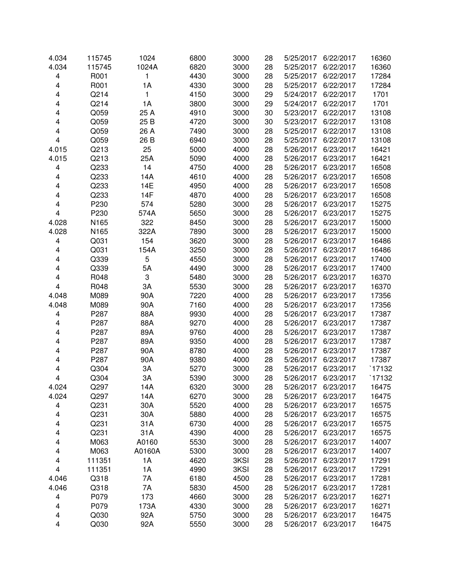| 4.034                   | 115745 | 1024         | 6800 | 3000 | 28 | 5/25/2017 | 6/22/2017 | 16360  |
|-------------------------|--------|--------------|------|------|----|-----------|-----------|--------|
| 4.034                   | 115745 | 1024A        | 6820 | 3000 | 28 | 5/25/2017 | 6/22/2017 | 16360  |
| 4                       | R001   | 1            | 4430 | 3000 | 28 | 5/25/2017 | 6/22/2017 | 17284  |
| 4                       | R001   | 1A           | 4330 | 3000 | 28 | 5/25/2017 | 6/22/2017 | 17284  |
| 4                       | Q214   | $\mathbf{1}$ | 4150 | 3000 | 29 | 5/24/2017 | 6/22/2017 | 1701   |
| 4                       | Q214   | 1A           | 3800 | 3000 | 29 | 5/24/2017 | 6/22/2017 | 1701   |
| 4                       | Q059   | 25 A         | 4910 | 3000 | 30 | 5/23/2017 | 6/22/2017 | 13108  |
| 4                       | Q059   | 25 B         | 4720 | 3000 | 30 | 5/23/2017 | 6/22/2017 | 13108  |
| 4                       | Q059   | 26 A         | 7490 | 3000 | 28 | 5/25/2017 | 6/22/2017 | 13108  |
| 4                       | Q059   | 26 B         | 6940 | 3000 | 28 | 5/25/2017 | 6/22/2017 | 13108  |
| 4.015                   | Q213   | 25           | 5000 | 4000 | 28 | 5/26/2017 | 6/23/2017 | 16421  |
| 4.015                   | Q213   | 25A          | 5090 | 4000 | 28 | 5/26/2017 | 6/23/2017 | 16421  |
| 4                       | Q233   | 14           | 4750 | 4000 | 28 | 5/26/2017 | 6/23/2017 | 16508  |
| 4                       | Q233   | 14A          | 4610 | 4000 | 28 | 5/26/2017 | 6/23/2017 | 16508  |
| 4                       | Q233   | 14E          | 4950 | 4000 | 28 | 5/26/2017 | 6/23/2017 | 16508  |
| 4                       | Q233   | 14F          | 4870 | 4000 | 28 | 5/26/2017 | 6/23/2017 | 16508  |
| 4                       | P230   | 574          | 5280 | 3000 | 28 | 5/26/2017 | 6/23/2017 | 15275  |
| $\overline{\mathbf{4}}$ | P230   | 574A         | 5650 | 3000 | 28 | 5/26/2017 | 6/23/2017 | 15275  |
| 4.028                   | N165   | 322          | 8450 | 3000 | 28 | 5/26/2017 | 6/23/2017 | 15000  |
| 4.028                   | N165   | 322A         | 7890 | 3000 | 28 | 5/26/2017 | 6/23/2017 | 15000  |
| 4                       | Q031   | 154          | 3620 | 3000 | 28 | 5/26/2017 | 6/23/2017 | 16486  |
| 4                       | Q031   | 154A         | 3250 | 3000 | 28 | 5/26/2017 | 6/23/2017 | 16486  |
| 4                       | Q339   | 5            | 4550 | 3000 | 28 | 5/26/2017 | 6/23/2017 | 17400  |
| 4                       | Q339   | 5A           | 4490 | 3000 | 28 | 5/26/2017 | 6/23/2017 | 17400  |
| 4                       | R048   | 3            | 5480 | 3000 | 28 | 5/26/2017 | 6/23/2017 | 16370  |
| 4                       | R048   | 3A           | 5530 | 3000 | 28 | 5/26/2017 | 6/23/2017 | 16370  |
| 4.048                   | M089   | 90A          | 7220 | 4000 | 28 | 5/26/2017 | 6/23/2017 | 17356  |
| 4.048                   | M089   | 90A          | 7160 | 4000 | 28 | 5/26/2017 | 6/23/2017 | 17356  |
| 4                       | P287   | 88A          | 9930 | 4000 | 28 | 5/26/2017 | 6/23/2017 | 17387  |
| 4                       | P287   | 88A          | 9270 | 4000 | 28 | 5/26/2017 | 6/23/2017 | 17387  |
| 4                       | P287   | 89A          | 9760 | 4000 | 28 | 5/26/2017 | 6/23/2017 | 17387  |
| 4                       | P287   | 89A          | 9350 | 4000 | 28 | 5/26/2017 | 6/23/2017 | 17387  |
| 4                       | P287   | 90A          | 8780 | 4000 | 28 | 5/26/2017 | 6/23/2017 | 17387  |
| 4                       | P287   | 90A          | 9380 | 4000 | 28 | 5/26/2017 | 6/23/2017 | 17387  |
| 4                       | Q304   | 3A           | 5270 | 3000 | 28 | 5/26/2017 | 6/23/2017 | `17132 |
| 4                       | Q304   | 3A           | 5390 | 3000 | 28 | 5/26/2017 | 6/23/2017 | `17132 |
| 4.024                   | Q297   | 14A          | 6320 | 3000 | 28 | 5/26/2017 | 6/23/2017 | 16475  |
| 4.024                   | Q297   | 14A          | 6270 | 3000 | 28 | 5/26/2017 | 6/23/2017 | 16475  |
| 4                       | Q231   | 30A          | 5520 | 4000 | 28 | 5/26/2017 | 6/23/2017 | 16575  |
| 4                       | Q231   | 30A          | 5880 | 4000 | 28 | 5/26/2017 | 6/23/2017 | 16575  |
| 4                       | Q231   | 31A          | 6730 | 4000 | 28 | 5/26/2017 | 6/23/2017 | 16575  |
| 4                       | Q231   | 31A          | 4390 | 4000 | 28 | 5/26/2017 | 6/23/2017 | 16575  |
| 4                       | M063   | A0160        | 5530 | 3000 | 28 | 5/26/2017 | 6/23/2017 | 14007  |
| 4                       | M063   | A0160A       | 5300 | 3000 | 28 | 5/26/2017 | 6/23/2017 | 14007  |
| 4                       | 111351 | 1A           | 4620 | 3KSI | 28 | 5/26/2017 | 6/23/2017 | 17291  |
| 4                       | 111351 | 1A           | 4990 | 3KSI | 28 | 5/26/2017 | 6/23/2017 | 17291  |
| 4.046                   | Q318   | 7A           | 6180 | 4500 | 28 | 5/26/2017 | 6/23/2017 | 17281  |
| 4.046                   | Q318   | 7A           | 5830 | 4500 | 28 | 5/26/2017 | 6/23/2017 | 17281  |
| 4                       | P079   | 173          | 4660 | 3000 | 28 | 5/26/2017 | 6/23/2017 | 16271  |
| 4                       | P079   | 173A         | 4330 | 3000 | 28 | 5/26/2017 | 6/23/2017 | 16271  |
| 4                       | Q030   | 92A          | 5750 | 3000 | 28 | 5/26/2017 | 6/23/2017 | 16475  |
| 4                       | Q030   | 92A          | 5550 | 3000 | 28 | 5/26/2017 | 6/23/2017 | 16475  |
|                         |        |              |      |      |    |           |           |        |